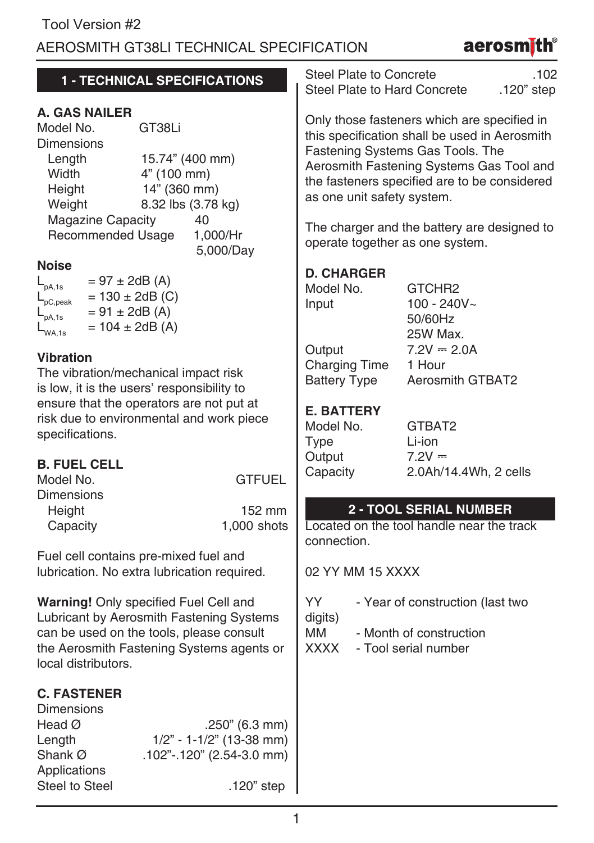### AEROSMITH GT38LI TECHNICAL SPECIFICATION

# aerosmith®

| 1 - TECHNICAL SPECIFICATIONS                                                                                                                                                                                                                       | Steel Plate to Concrete<br>.102<br>Steel Plate to Hard Concrete<br>.120" step                                                                                                                                                                                                                                                                |  |  |  |
|----------------------------------------------------------------------------------------------------------------------------------------------------------------------------------------------------------------------------------------------------|----------------------------------------------------------------------------------------------------------------------------------------------------------------------------------------------------------------------------------------------------------------------------------------------------------------------------------------------|--|--|--|
| <b>A. GAS NAILER</b><br>Model No.<br>GT38Li<br><b>Dimensions</b><br>Length<br>15.74" (400 mm)<br>Width<br>4" (100 mm)<br>14" (360 mm)<br>Height<br>8.32 lbs (3.78 kg)<br>Weight<br><b>Magazine Capacity</b><br>40<br>Recommended Usage<br>1,000/Hr | Only those fasteners which are specified in<br>this specification shall be used in Aerosmith<br>Fastening Systems Gas Tools. The<br>Aerosmith Fastening Systems Gas Tool and<br>the fasteners specified are to be considered<br>as one unit safety system.<br>The charger and the battery are designed to<br>operate together as one system. |  |  |  |
| 5,000/Day<br><b>Noise</b><br>$= 97 \pm 2dB (A)$<br>$L_{\rm pA,1s}$<br>$= 130 \pm 2dB$ (C)<br>pC,peak<br>$= 91 \pm 2dB (A)$<br>pA,1s<br>$= 104 \pm 2dB (A)$<br>WA,1s                                                                                | <b>D. CHARGER</b><br>Model No.<br>GTCHR2<br>100 - 240V~<br>Input<br>50/60Hz<br>25W Max.                                                                                                                                                                                                                                                      |  |  |  |
| Vibration<br>The vibration/mechanical impact risk<br>is low, it is the users' responsibility to                                                                                                                                                    | Output<br>$7.2V = 2.0A$<br><b>Charging Time</b><br>1 Hour<br><b>Battery Type</b><br><b>Aerosmith GTBAT2</b>                                                                                                                                                                                                                                  |  |  |  |
| ensure that the operators are not put at<br>risk due to environmental and work piece<br>specifications.                                                                                                                                            | <b>E. BATTERY</b><br>Model No.<br>GTBAT2<br>Type<br>Li-ion<br>Output<br>$7.2V =$                                                                                                                                                                                                                                                             |  |  |  |
| <b>B. FUEL CELL</b><br>Model No.<br><b>GTFUEL</b><br><b>Dimensions</b><br>Height<br>152 mm                                                                                                                                                         | Capacity<br>2.0Ah/14.4Wh, 2 cells<br>2 - TOOL SERIAL NUMBER                                                                                                                                                                                                                                                                                  |  |  |  |
| Capacity<br>1,000 shots<br>Fuel cell contains pre-mixed fuel and<br>lubrication. No extra lubrication required.                                                                                                                                    | Located on the tool handle near the track<br>connection.<br>02 YY MM 15 XXXX                                                                                                                                                                                                                                                                 |  |  |  |
| Warning! Only specified Fuel Cell and<br>Lubricant by Aerosmith Fastening Systems<br>can be used on the tools, please consult<br>the Aerosmith Fastening Systems agents or<br>local distributors.                                                  | YY.<br>- Year of construction (last two<br>digits)<br>MМ<br>- Month of construction<br><b>XXXX</b><br>- Tool serial number                                                                                                                                                                                                                   |  |  |  |
| <b>C. FASTENER</b><br><b>Dimensions</b><br>Head $\varnothing$<br>.250" (6.3 mm)<br>$1/2" - 1 - 1/2"$ (13-38 mm)<br>Length<br>Shank Ø<br>.102"-.120" (2.54-3.0 mm)<br>Applications<br><b>Steel to Steel</b><br>.120" step                           |                                                                                                                                                                                                                                                                                                                                              |  |  |  |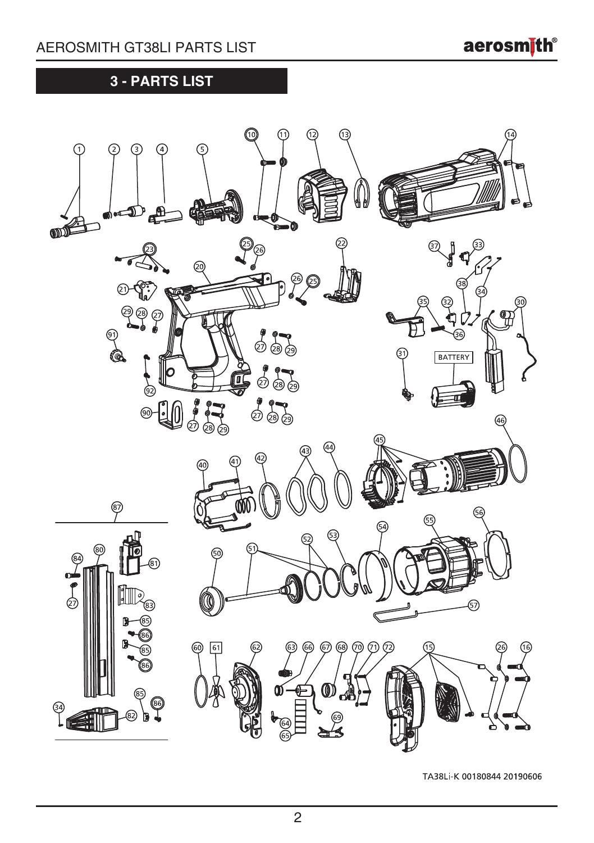aerosmith<sup>®</sup>

## **3 - PARTS LIST**



TA38Li-K 00180844 20190606